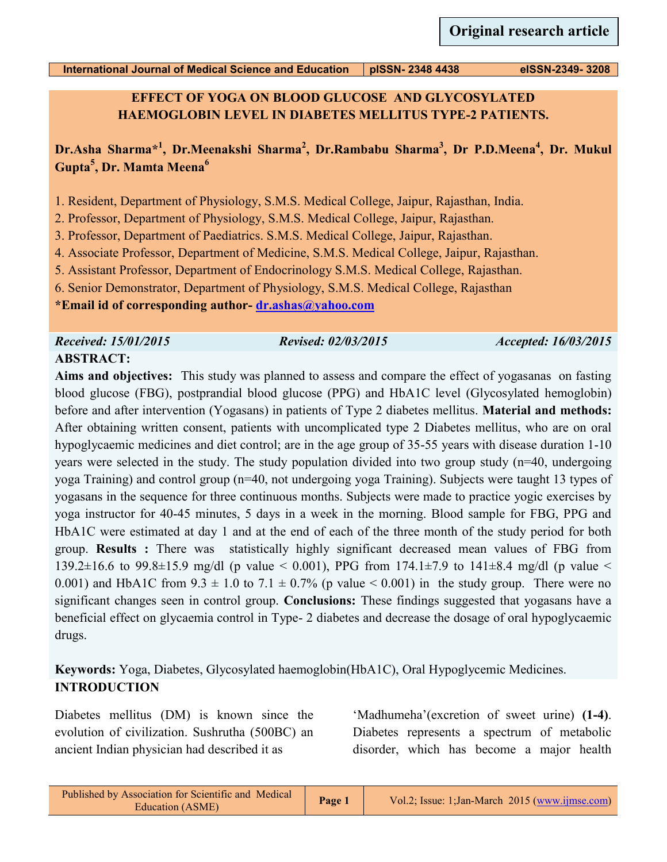**EFFECT OF YOGA ON BLOOD GLUCOSE AND GLYCOSYLATED HAEMOGLOBIN LEVEL IN DIABETES MELLITUS TYPE-2 PATIENTS.**

**Dr.Asha Sharma\*<sup>1</sup> , Dr.Meenakshi Sharma<sup>2</sup> , Dr.Rambabu Sharma<sup>3</sup> , Dr P.D.Meena<sup>4</sup> , Dr. Mukul Gupta<sup>5</sup> , Dr. Mamta Meena<sup>6</sup>**

1. Resident, Department of Physiology, S.M.S. Medical College, Jaipur, Rajasthan, India.

2. Professor, Department of Physiology, S.M.S. Medical College, Jaipur, Rajasthan.

3. Professor, Department of Paediatrics. S.M.S. Medical College, Jaipur, Rajasthan.

4. Associate Professor, Department of Medicine, S.M.S. Medical College, Jaipur, Rajasthan.

5. Assistant Professor, Department of Endocrinology S.M.S. Medical College, Rajasthan.

6. Senior Demonstrator, Department of Physiology, S.M.S. Medical College, Rajasthan

**\*Email id of corresponding author- [dr.ashas@yahoo.com](mailto:dr.ashas@yahoo.com)**

*Received: 15/01/2015 Revised: 02/03/2015 Accepted: 16/03/2015*

# **ABSTRACT:**

**Aims and objectives:** This study was planned to assess and compare the effect of yogasanas on fasting blood glucose (FBG), postprandial blood glucose (PPG) and HbA1C level (Glycosylated hemoglobin) before and after intervention (Yogasans) in patients of Type 2 diabetes mellitus. **Material and methods:** After obtaining written consent, patients with uncomplicated type 2 Diabetes mellitus, who are on oral hypoglycaemic medicines and diet control; are in the age group of 35-55 years with disease duration 1-10 years were selected in the study. The study population divided into two group study (n=40, undergoing yoga Training) and control group (n=40, not undergoing yoga Training). Subjects were taught 13 types of yogasans in the sequence for three continuous months. Subjects were made to practice yogic exercises by yoga instructor for 40-45 minutes, 5 days in a week in the morning. Blood sample for FBG, PPG and HbA1C were estimated at day 1 and at the end of each of the three month of the study period for both group. **Results :** There was statistically highly significant decreased mean values of FBG from 139.2 $\pm$ 16.6 to 99.8 $\pm$ 15.9 mg/dl (p value < 0.001), PPG from 174.1 $\pm$ 7.9 to 141 $\pm$ 8.4 mg/dl (p value < 0.001) and HbA1C from  $9.3 \pm 1.0$  to  $7.1 \pm 0.7\%$  (p value  $< 0.001$ ) in the study group. There were no significant changes seen in control group. **Conclusions:** These findings suggested that yogasans have a beneficial effect on glycaemia control in Type- 2 diabetes and decrease the dosage of oral hypoglycaemic drugs.

# **Keywords:** Yoga, Diabetes, Glycosylated haemoglobin(HbA1C), Oral Hypoglycemic Medicines. **INTRODUCTION**

Diabetes mellitus (DM) is known since the evolution of civilization. Sushrutha (500BC) an ancient Indian physician had described it as

'Madhumeha'(excretion of sweet urine) **(1-4)**. Diabetes represents a spectrum of metabolic disorder, which has become a major health

| Vol.2; Issue: 1; Jan-March 2015 (www.ijmse.com) |
|-------------------------------------------------|
|                                                 |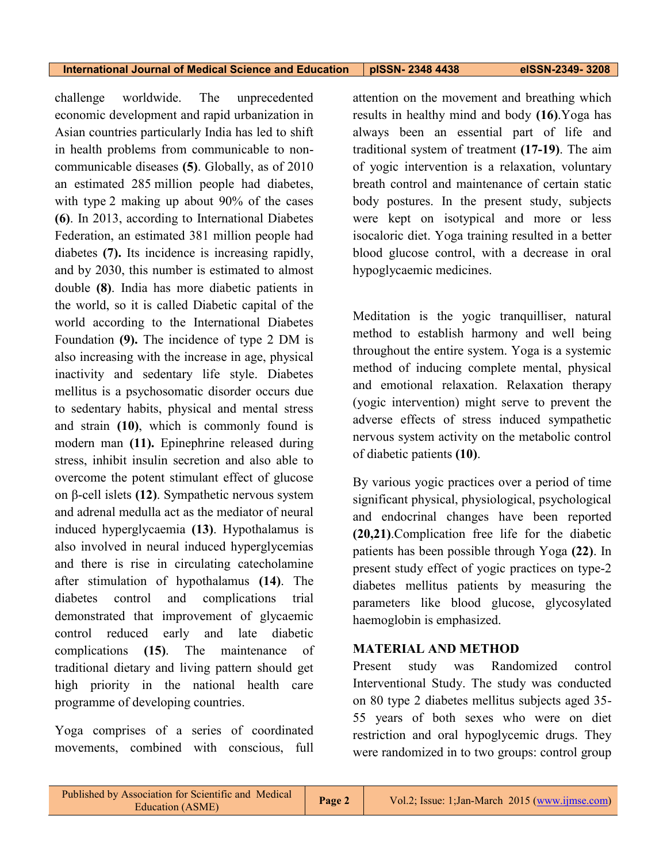challenge worldwide. The unprecedented economic development and rapid urbanization in Asian countries particularly India has led to shift in health problems from communicable to noncommunicable diseases **(5)**. Globally, as of 2010 an estimated 285 million people had diabetes, with type 2 making up about 90% of the cases **(6)**. In 2013, according to International Diabetes Federation, an estimated 381 million people had diabetes **(7).** Its incidence is increasing rapidly, and by 2030, this number is estimated to almost double **(8)**. India has more diabetic patients in the world, so it is called Diabetic capital of the world according to the International Diabetes Foundation **(9).** The incidence of type 2 DM is also increasing with the increase in age, physical inactivity and sedentary life style. Diabetes mellitus is a psychosomatic disorder occurs due to sedentary habits, physical and mental stress and strain **(10)**, which is commonly found is modern man **(11).** Epinephrine released during stress, inhibit insulin secretion and also able to overcome the potent stimulant effect of glucose on β-cell islets **(12)**. Sympathetic nervous system and adrenal medulla act as the mediator of neural induced hyperglycaemia **(13)**. Hypothalamus is also involved in neural induced hyperglycemias and there is rise in circulating catecholamine after stimulation of hypothalamus **(14)**. The diabetes control and complications trial demonstrated that improvement of glycaemic control reduced early and late diabetic complications **(15)**. The maintenance of traditional dietary and living pattern should get high priority in the national health care programme of developing countries.

Yoga comprises of a series of coordinated movements, combined with conscious, full attention on the movement and breathing which results in healthy mind and body **(16)**.Yoga has always been an essential part of life and traditional system of treatment **(17-19)**. The aim of yogic intervention is a relaxation, voluntary breath control and maintenance of certain static body postures. In the present study, subjects were kept on isotypical and more or less isocaloric diet. Yoga training resulted in a better blood glucose control, with a decrease in oral hypoglycaemic medicines.

Meditation is the yogic tranquilliser, natural method to establish harmony and well being throughout the entire system. Yoga is a systemic method of inducing complete mental, physical and emotional relaxation. Relaxation therapy (yogic intervention) might serve to prevent the adverse effects of stress induced sympathetic nervous system activity on the metabolic control of diabetic patients **(10)**.

By various yogic practices over a period of time significant physical, physiological, psychological and endocrinal changes have been reported **(20,21)**.Complication free life for the diabetic patients has been possible through Yoga **(22)**. In present study effect of yogic practices on type-2 diabetes mellitus patients by measuring the parameters like blood glucose, glycosylated haemoglobin is emphasized.

# **MATERIAL AND METHOD**

Present study was Randomized control Interventional Study. The study was conducted on 80 type 2 diabetes mellitus subjects aged 35- 55 years of both sexes who were on diet restriction and oral hypoglycemic drugs. They were randomized in to two groups: control group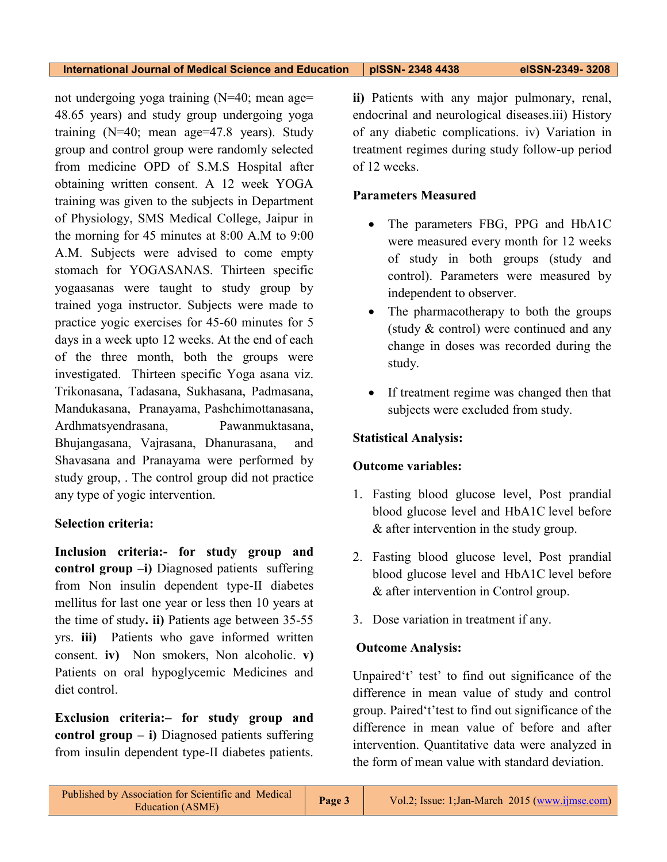not undergoing yoga training (N=40; mean age= 48.65 years) and study group undergoing yoga training (N=40; mean age=47.8 years). Study group and control group were randomly selected from medicine OPD of S.M.S Hospital after obtaining written consent. A 12 week YOGA training was given to the subjects in Department of Physiology, SMS Medical College, Jaipur in the morning for 45 minutes at 8:00 A.M to 9:00 A.M. Subjects were advised to come empty stomach for YOGASANAS. Thirteen specific yogaasanas were taught to study group by trained yoga instructor. Subjects were made to practice yogic exercises for 45-60 minutes for 5 days in a week upto 12 weeks. At the end of each of the three month, both the groups were investigated. Thirteen specific Yoga asana viz. Trikonasana, Tadasana, Sukhasana, Padmasana, Mandukasana, Pranayama, Pashchimottanasana, Ardhmatsyendrasana, Pawanmuktasana, Bhujangasana, Vajrasana, Dhanurasana, and Shavasana and Pranayama were performed by study group, . The control group did not practice any type of yogic intervention.

## **Selection criteria:**

**Inclusion criteria:- for study group and control group –i)** Diagnosed patients suffering from Non insulin dependent type-II diabetes mellitus for last one year or less then 10 years at the time of study**. ii)** Patients age between 35-55 yrs. **iii)** Patients who gave informed written consent. **iv)** Non smokers, Non alcoholic. **v)** Patients on oral hypoglycemic Medicines and diet control.

**Exclusion criteria:– for study group and control group – i)** Diagnosed patients suffering from insulin dependent type-II diabetes patients. **ii)** Patients with any major pulmonary, renal, endocrinal and neurological diseases.iii) History of any diabetic complications. iv) Variation in treatment regimes during study follow-up period of 12 weeks.

# **Parameters Measured**

- The parameters FBG, PPG and HbA1C were measured every month for 12 weeks of study in both groups (study and control). Parameters were measured by independent to observer.
- The pharmacotherapy to both the groups (study & control) were continued and any change in doses was recorded during the study.
- If treatment regime was changed then that subjects were excluded from study.

# **Statistical Analysis:**

# **Outcome variables:**

- 1. Fasting blood glucose level, Post prandial blood glucose level and HbA1C level before & after intervention in the study group.
- 2. Fasting blood glucose level, Post prandial blood glucose level and HbA1C level before & after intervention in Control group.
- 3. Dose variation in treatment if any.

## **Outcome Analysis:**

Unpaired't' test' to find out significance of the difference in mean value of study and control group. Paired't'test to find out significance of the difference in mean value of before and after intervention. Quantitative data were analyzed in the form of mean value with standard deviation.

| Published by Association for Scientific and Medical<br>Page 3<br>Education (ASME) | Vol.2; Issue: 1; Jan-March 2015 (www.ijmse.com) |
|-----------------------------------------------------------------------------------|-------------------------------------------------|
|-----------------------------------------------------------------------------------|-------------------------------------------------|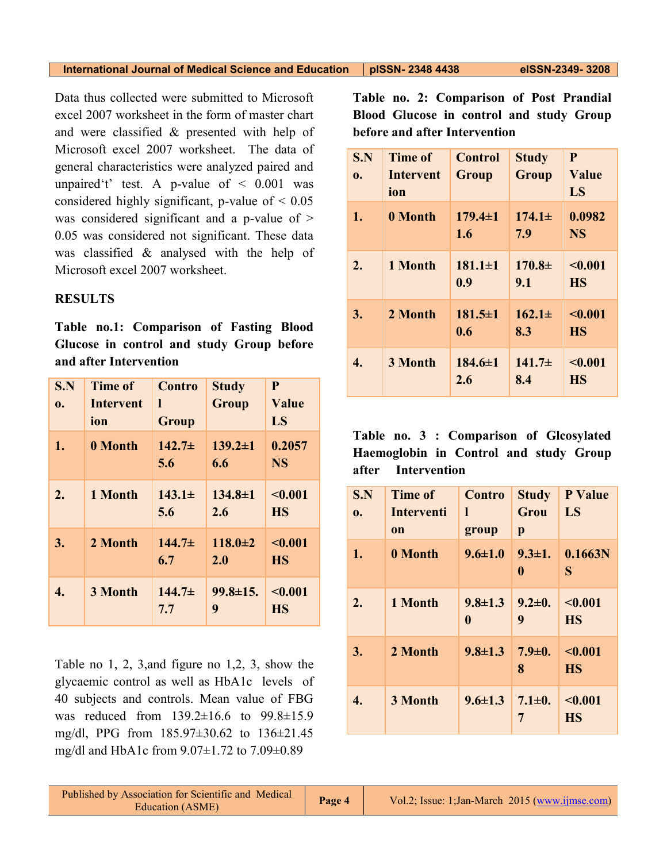| <b>International Journal of Medical Science and Education</b> | pISSN- 2348 443 |
|---------------------------------------------------------------|-----------------|
|---------------------------------------------------------------|-----------------|

Data thus collected were submitted to Microsoft excel 2007 worksheet in the form of master chart and were classified & presented with help of Microsoft excel 2007 worksheet. The data of general characteristics were analyzed paired and unpaired't' test. A p-value of  $\leq$  0.001 was considered highly significant, p-value of  $\leq 0.05$ was considered significant and a p-value of > 0.05 was considered not significant. These data was classified & analysed with the help of Microsoft excel 2007 worksheet.

## **RESULTS**

**Table no.1: Comparison of Fasting Blood Glucose in control and study Group before and after Intervention**

| S.N<br>0. | <b>Time of</b><br>Intervent<br>ion | Contro<br>I<br><b>Group</b> | <b>Study</b><br>Group | $\mathbf{P}$<br>Value<br>LS |
|-----------|------------------------------------|-----------------------------|-----------------------|-----------------------------|
| 1.        | 0 Month                            | $142.7\pm$<br>5.6           | $139.2 \pm 1$<br>6.6  | 0.2057<br><b>NS</b>         |
| 2.        | 1 Month                            | $143.1\pm$<br>5.6           | $134.8 \pm 1$<br>2.6  | < 0.001<br><b>HS</b>        |
| 3.        | 2 Month                            | $144.7+$<br>6.7             | $118.0 \pm 2$<br>2.0  | $\sim 0.001$<br><b>HS</b>   |
| 4.        | 3 Month                            | $144.7\pm$<br>7.7           | $99.8 \pm 15.$<br>9   | < 0.001<br><b>HS</b>        |

Table no 1, 2, 3,and figure no 1,2, 3, show the glycaemic control as well as HbA1c levels of 40 subjects and controls. Mean value of FBG was reduced from 139.2±16.6 to 99.8±15.9 mg/dl, PPG from 185.97±30.62 to 136±21.45 mg/dl and HbA1c from 9.07±1.72 to 7.09±0.89

**Table no. 2: Comparison of Post Prandial Blood Glucose in control and study Group before and after Intervention** 

| S.N<br>0. | <b>Time of</b><br><b>Intervent</b><br>ion | <b>Control</b><br>Group | <b>Study</b><br>Group | P<br>Value<br>LS     |
|-----------|-------------------------------------------|-------------------------|-----------------------|----------------------|
| 1.        | 0 Month                                   | $179.4 \pm 1$<br>1.6    | $174.1\pm$<br>7.9     | 0.0982<br><b>NS</b>  |
| 2.        | 1 Month                                   | $181.1 \pm 1$<br>0.9    | $170.8\pm$<br>9.1     | < 0.001<br><b>HS</b> |
| 3.        | 2 Month                                   | $181.5 \pm 1$<br>0.6    | $162.1\pm$<br>8.3     | < 0.001<br><b>HS</b> |
| 4.        | 3 Month                                   | $184.6 \pm 1$<br>2.6    | $141.7\pm$<br>8.4     | < 0.001<br><b>HS</b> |

**Table no. 3 : Comparison of Glcosylated Haemoglobin in Control and study Group after Intervention**

| S.N<br>0. | <b>Time of</b><br><b>Interventi</b><br><sub>on</sub> | <b>Contro</b><br>ı<br>group | <b>Study</b><br>Grou<br>p | <b>P</b> Value<br>LS             |
|-----------|------------------------------------------------------|-----------------------------|---------------------------|----------------------------------|
| 1.        | 0 Month                                              | $9.6 \pm 1.0$               | $\bf{0}$                  | $9.3 \pm 1.$ 0.1663N<br>S        |
| 2.        | 1 Month                                              | $9.8 \pm 1.3$<br>$\bf{0}$   | $9.2 \pm 0.$<br>9         | < 0.001<br><b>HS</b>             |
| 3.        | 2 Month                                              | $9.8 \pm 1.3$               | 8                         | $7.9 \pm 0.$ <0.001<br><b>HS</b> |
| 4.        | 3 Month                                              | $9.6 \pm 1.3$               | $7.1 \pm 0.$<br>7         | < 0.001<br><b>HS</b>             |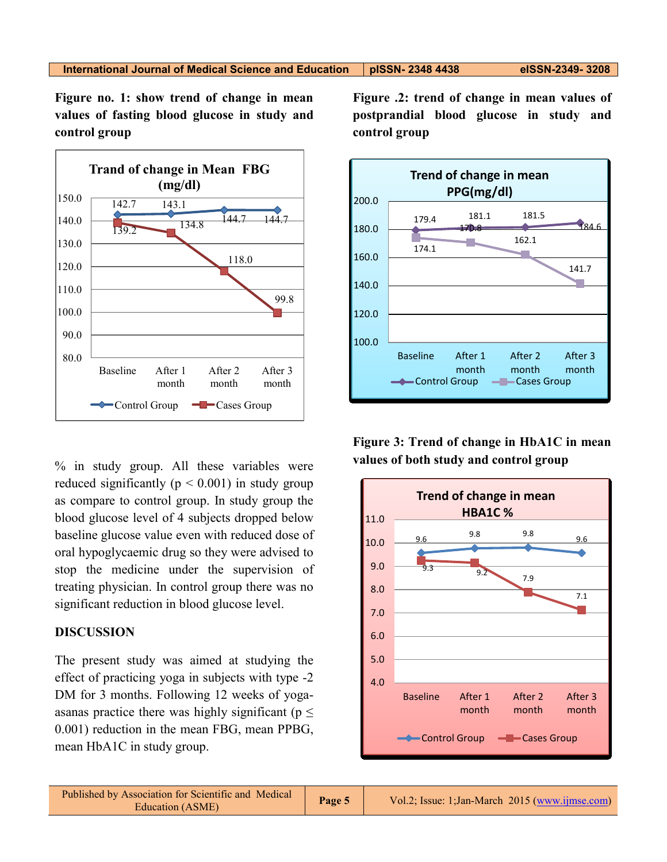**Figure no. 1: show trend of change in mean values of fasting blood glucose in study and control group**



% in study group. All these variables were reduced significantly ( $p < 0.001$ ) in study group as compare to control group. In study group the blood glucose level of 4 subjects dropped below baseline glucose value even with reduced dose of oral hypoglycaemic drug so they were advised to stop the medicine under the supervision of treating physician. In control group there was no significant reduction in blood glucose level.

## **DISCUSSION**

The present study was aimed at studying the effect of practicing yoga in subjects with type -2 DM for 3 months. Following 12 weeks of yogaasanas practice there was highly significant ( $p \leq$ 0.001) reduction in the mean FBG, mean PPBG, mean HbA1C in study group.

**Figure .2: trend of change in mean values of postprandial blood glucose in study and control group**



**Figure 3: Trend of change in HbA1C in mean values of both study and control group**

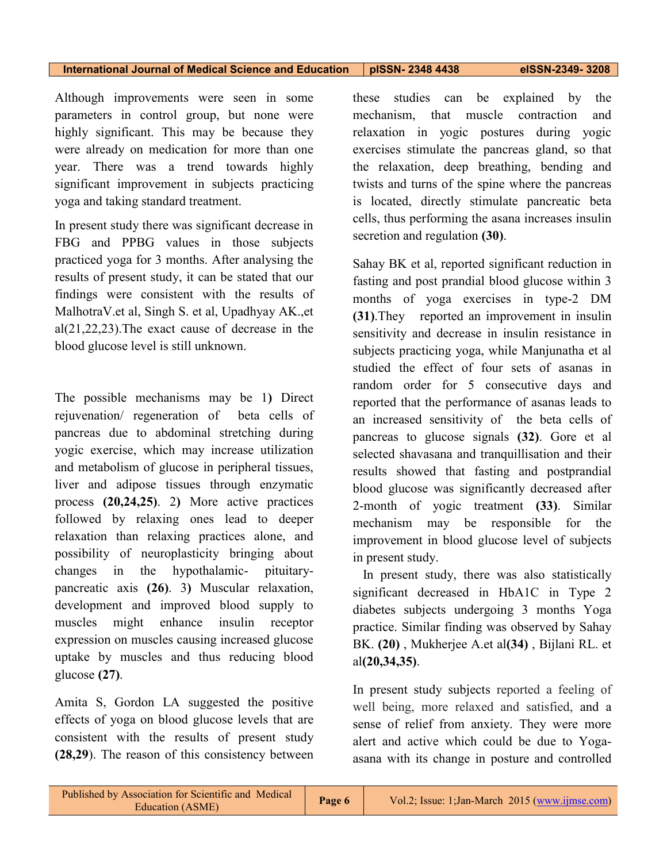Although improvements were seen in some parameters in control group, but none were highly significant. This may be because they were already on medication for more than one year. There was a trend towards highly significant improvement in subjects practicing yoga and taking standard treatment.

In present study there was significant decrease in FBG and PPBG values in those subjects practiced yoga for 3 months. After analysing the results of present study, it can be stated that our findings were consistent with the results of MalhotraV.et al, Singh S. et al, Upadhyay AK.,et al(21,22,23).The exact cause of decrease in the blood glucose level is still unknown.

The possible mechanisms may be 1**)** Direct rejuvenation/ regeneration of beta cells of pancreas due to abdominal stretching during yogic exercise, which may increase utilization and metabolism of glucose in peripheral tissues, liver and adipose tissues through enzymatic process **(20,24,25)**. 2**)** More active practices followed by relaxing ones lead to deeper relaxation than relaxing practices alone, and possibility of neuroplasticity bringing about changes in the hypothalamic- pituitarypancreatic axis **(26)**. 3**)** Muscular relaxation, development and improved blood supply to muscles might enhance insulin receptor expression on muscles causing increased glucose uptake by muscles and thus reducing blood glucose **(27)**.

Amita S, Gordon LA suggested the positive effects of yoga on blood glucose levels that are consistent with the results of present study **(28,29**). The reason of this consistency between

these studies can be explained by the mechanism, that muscle contraction and relaxation in yogic postures during yogic exercises stimulate the pancreas gland, so that the relaxation, deep breathing, bending and twists and turns of the spine where the pancreas is located, directly stimulate pancreatic beta cells, thus performing the asana increases insulin secretion and regulation **(30)**.

Sahay BK et al, reported significant reduction in fasting and post prandial blood glucose within 3 months of yoga exercises in type-2 DM **(31)**.They reported an improvement in insulin sensitivity and decrease in insulin resistance in subjects practicing yoga, while Manjunatha et al studied the effect of four sets of asanas in random order for 5 consecutive days and reported that the performance of asanas leads to an increased sensitivity of the beta cells of pancreas to glucose signals **(32)**. Gore et al selected shavasana and tranquillisation and their results showed that fasting and postprandial blood glucose was significantly decreased after 2-month of yogic treatment **(33)**. Similar mechanism may be responsible for the improvement in blood glucose level of subjects in present study.

 In present study, there was also statistically significant decreased in HbA1C in Type 2 diabetes subjects undergoing 3 months Yoga practice. Similar finding was observed by Sahay BK. **(20)** , Mukherjee A.et al**(34)** , Bijlani RL. et al**(20,34,35)**.

In present study subjects reported a feeling of well being, more relaxed and satisfied, and a sense of relief from anxiety. They were more alert and active which could be due to Yogaasana with its change in posture and controlled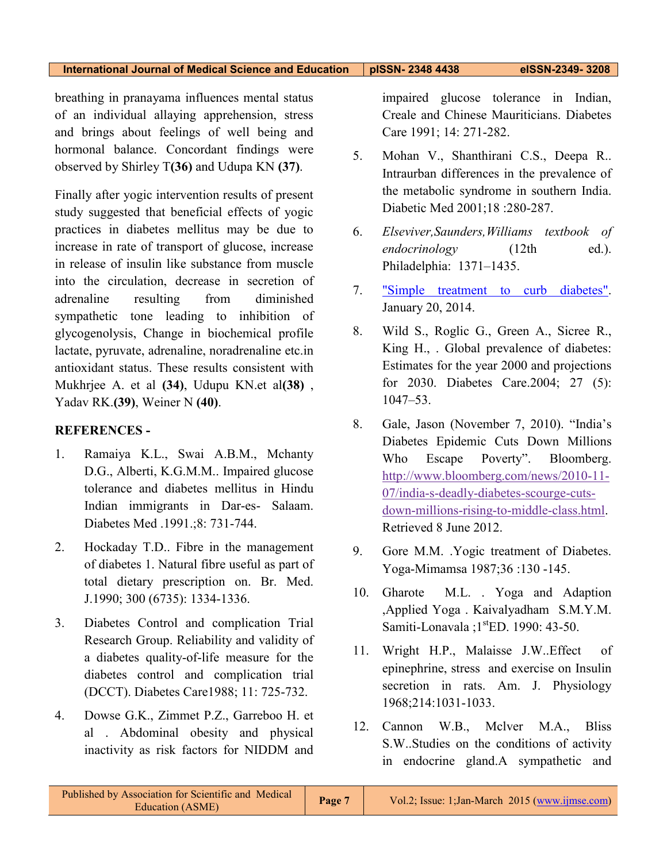breathing in pranayama influences mental status of an individual allaying apprehension, stress and brings about feelings of well being and hormonal balance. Concordant findings were observed by Shirley T**(36)** and Udupa KN **(37)**.

Finally after yogic intervention results of present study suggested that beneficial effects of yogic practices in diabetes mellitus may be due to increase in rate of transport of glucose, increase in release of insulin like substance from muscle into the circulation, decrease in secretion of adrenaline resulting from diminished sympathetic tone leading to inhibition of glycogenolysis, Change in biochemical profile lactate, pyruvate, adrenaline, noradrenaline etc.in antioxidant status. These results consistent with Mukhrjee A. et al **(34)**, Udupu KN.et al**(38)** , Yadav RK.**(39)**, Weiner N **(40)**.

# **REFERENCES -**

- 1. Ramaiya K.L., Swai A.B.M., Mchanty D.G., Alberti, K.G.M.M.. Impaired glucose tolerance and diabetes mellitus in Hindu Indian immigrants in Dar-es- Salaam. Diabetes Med .1991.;8: 731-744.
- 2. Hockaday T.D.. Fibre in the management of diabetes 1. Natural fibre useful as part of total dietary prescription on. Br. Med. J.1990; 300 (6735): 1334-1336.
- 3. Diabetes Control and complication Trial Research Group. Reliability and validity of a diabetes quality-of-life measure for the diabetes control and complication trial (DCCT). Diabetes Care1988; 11: 725-732.
- 4. Dowse G.K., Zimmet P.Z., Garreboo H. et al . Abdominal obesity and physical inactivity as risk factors for NIDDM and

impaired glucose tolerance in Indian, Creale and Chinese Mauriticians. Diabetes Care 1991; 14: 271-282.

- 5. Mohan V., Shanthirani C.S., Deepa R.. Intraurban differences in the prevalence of the metabolic syndrome in southern India. Diabetic Med 2001;18 :280-287.
- 6. *Elseviver,Saunders,Williams textbook of endocrinology* (12th ed.). Philadelphia: 1371–1435.
- 7. ["Simple treatment to curb diabetes".](http://www.thejakartapost.com/bali-daily/2014-01-20/simple-treatment-curb-diabetes.html) January 20, 2014.
- 8. Wild S., Roglic G., Green A., Sicree R., King H., . Global prevalence of diabetes: Estimates for the year 2000 and projections for 2030. Diabetes Care.2004; 27 (5): 1047–53.
- 8. Gale, Jason (November 7, 2010). "India's Diabetes Epidemic Cuts Down Millions Who Escape Poverty". Bloomberg. [http://www.bloomberg.com/news/2010-11-](http://www.bloomberg.com/news/2010-11-07/india-s-deadly-diabetes-scourge-cuts-down-millions-rising-to-middle-class.html) [07/india-s-deadly-diabetes-scourge-cuts](http://www.bloomberg.com/news/2010-11-07/india-s-deadly-diabetes-scourge-cuts-down-millions-rising-to-middle-class.html)[down-millions-rising-to-middle-class.html.](http://www.bloomberg.com/news/2010-11-07/india-s-deadly-diabetes-scourge-cuts-down-millions-rising-to-middle-class.html) Retrieved 8 June 2012.
- 9. Gore M.M. .Yogic treatment of Diabetes. Yoga-Mimamsa 1987;36 :130 -145.
- 10. Gharote M.L. . Yoga and Adaption ,Applied Yoga . Kaivalyadham S.M.Y.M. Samiti-Lonavala ;1<sup>st</sup>ED. 1990: 43-50.
- 11. Wright H.P., Malaisse J.W..Effect of epinephrine, stress and exercise on Insulin secretion in rats. Am. J. Physiology 1968;214:1031-1033.
- 12. Cannon W.B., Mclver M.A., Bliss S.W..Studies on the conditions of activity in endocrine gland.A sympathetic and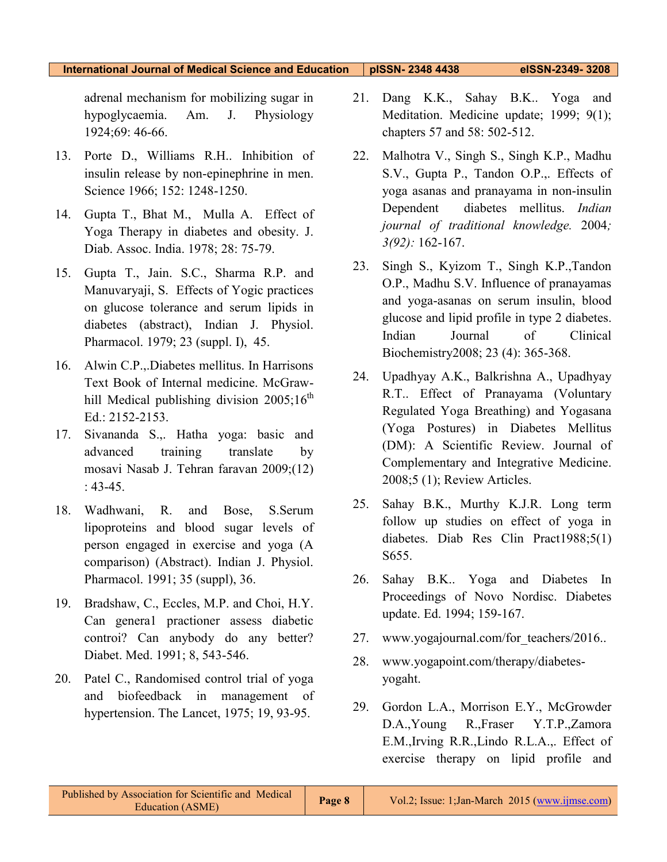adrenal mechanism for mobilizing sugar in hypoglycaemia. Am. J. Physiology 1924;69: 46-66.

- 13. Porte D., Williams R.H.. Inhibition of insulin release by non-epinephrine in men. Science 1966; 152: 1248-1250.
- 14. Gupta T., Bhat M., Mulla A. Effect of Yoga Therapy in diabetes and obesity. J. Diab. Assoc. India. 1978; 28: 75-79.
- 15. Gupta T., Jain. S.C., Sharma R.P. and Manuvaryaji, S. Effects of Yogic practices on glucose tolerance and serum lipids in diabetes (abstract), Indian J. Physiol. Pharmacol. 1979; 23 (suppl. I), 45.
- 16. Alwin C.P.,.Diabetes mellitus. In Harrisons Text Book of Internal medicine. McGrawhill Medical publishing division  $2005;16^{th}$ Ed.: 2152-2153.
- 17. Sivananda S.,. Hatha yoga: basic and advanced training translate by mosavi Nasab J. Tehran faravan 2009;(12) :  $43-45$ .
- 18. Wadhwani, R. and Bose, S.Serum lipoproteins and blood sugar levels of person engaged in exercise and yoga (A comparison) (Abstract). Indian J. Physiol. Pharmacol. 1991; 35 (suppl), 36.
- 19. Bradshaw, C., Eccles, M.P. and Choi, H.Y. Can genera1 practioner assess diabetic controi? Can anybody do any better? Diabet. Med. 1991; 8, 543-546.
- 20. Patel C., Randomised control trial of yoga and biofeedback in management of hypertension. The Lancet, 1975; 19, 93-95.
- 21. Dang K.K., Sahay B.K.. Yoga and Meditation. Medicine update; 1999; 9(1); chapters 57 and 58: 502-512.
- 22. Malhotra V., Singh S., Singh K.P., Madhu S.V., Gupta P., Tandon O.P.,. Effects of yoga asanas and pranayama in non-insulin Dependent diabetes mellitus. *Indian journal of traditional knowledge.* 2004*; 3(92):* 162-167.
- 23. Singh S., Kyizom T., Singh K.P.,Tandon O.P., Madhu S.V. Influence of pranayamas and yoga-asanas on serum insulin, blood glucose and lipid profile in type 2 diabetes. Indian Journal of Clinical Biochemistry2008; 23 (4): 365-368.
- 24. Upadhyay A.K., Balkrishna A., Upadhyay R.T.. Effect of Pranayama (Voluntary Regulated Yoga Breathing) and Yogasana (Yoga Postures) in Diabetes Mellitus (DM): A Scientific Review. Journal of Complementary and Integrative Medicine. 2008;5 (1); Review Articles.
- 25. Sahay B.K., Murthy K.J.R. Long term follow up studies on effect of yoga in diabetes. Diab Res Clin Pract1988;5(1) S655.
- 26. Sahay B.K.. Yoga and Diabetes In Proceedings of Novo Nordisc. Diabetes update. Ed. 1994; 159-167.
- 27. www.yogajournal.com/for\_teachers/2016...
- 28. www.yogapoint.com/therapy/diabetesyogaht.
- 29. Gordon L.A., Morrison E.Y., McGrowder D.A.,Young R.,Fraser Y.T.P.,Zamora E.M.,Irving R.R.,Lindo R.L.A.,. Effect of exercise therapy on lipid profile and